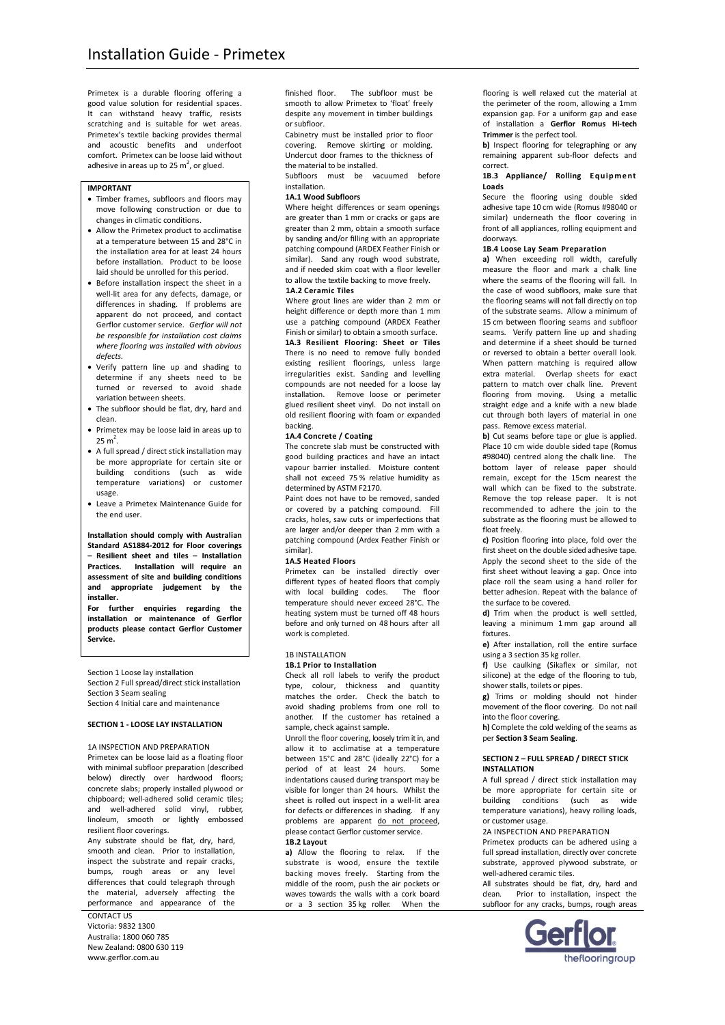Primetex is a durable flooring offering a good value solution for residential spaces. It can withstand heavy traffic, resists scratching and is suitable for wet areas. Primetex's textile backing provides thermal and acoustic benefits and underfoot comfort. Primetex can be loose laid without adhesive in areas up to 25  $m^2$ , or glued.

### **IMPORTANT**

- Timber frames, subfloors and floors may move following construction or due to changes in climatic conditions.
- Allow the Primetex product to acclimatise at a temperature between 15 and 28°C in the installation area for at least 24 hours before installation. Product to be loose laid should be unrolled for this period.
- Before installation inspect the sheet in a well-lit area for any defects, damage, or differences in shading. If problems are apparent do not proceed, and contact Gerflor customer service. *Gerflor will not be responsible for installation cost claims where flooring was installed with obvious defects.*
- Verify pattern line up and shading to determine if any sheets need to be turned or reversed to avoid shade variation between sheets.
- The subfloor should be flat, dry, hard and clean.
- Primetex may be loose laid in areas up to  $25 \text{ m}^2$ .
- A full spread / direct stick installation may be more appropriate for certain site or building conditions (such as wide temperature variations) or customer usage.
- Leave a Primetex Maintenance Guide for the end user.

**Installation should comply with Australian Standard AS1884-2012 for Floor coverings – Resilient sheet and tiles – Installation Practices. Installation will require an assessment of site and building conditions and appropriate judgement by the installer.**

**For further enquiries regarding the installation or maintenance of Gerflor products please contact Gerflor Customer Service.**

Section 1 Loose lay installation Section 2 Full spread/direct stick installation Section 3 Seam sealing

Section 4 Initial care and maintenance

# **SECTION 1 - LOOSE LAY INSTALLATION**

# 1A INSPECTION AND PREPARATION

Primetex can be loose laid as a floating floor with minimal subfloor preparation (described below) directly over hardwood floors; concrete slabs; properly installed plywood or chipboard; well-adhered solid ceramic tiles; and well-adhered solid vinyl, rubber, linoleum, smooth or lightly embossed resilient floor coverings.

Any substrate should be flat, dry, hard, smooth and clean. Prior to installation, inspect the substrate and repair cracks, bumps, rough areas or any level differences that could telegraph through the material, adversely affecting the performance and appearance of the

CONTACT US Victoria: 9832 1300 Australia: 1800 060 785 New Zealand: 0800 630 119 www.gerflor.com.au

finished floor. The subfloor must be smooth to allow Primetex to 'float' freely despite any movement in timber buildings or subfloor.

Cabinetry must be installed prior to floor covering. Remove skirting or molding. Undercut door frames to the thickness of the material to be installed.

Subfloors must be vacuumed before installation.

# **1A.1 Wood Subfloors**

Where height differences or seam openings are greater than 1 mm or cracks or gaps are greater than 2 mm, obtain a smooth surface by sanding and/or filling with an appropriate patching compound (ARDEX Feather Finish or similar). Sand any rough wood substrate, and if needed skim coat with a floor leveller to allow the textile backing to move freely. **1A.2 Ceramic Tiles**

Where grout lines are wider than 2 mm or height difference or depth more than 1 mm use a patching compound (ARDEX Feather Finish or similar) to obtain a smooth surface. **1A.3 Resilient Flooring: Sheet or Tiles** There is no need to remove fully bonded existing resilient floorings, unless large irregularities exist. Sanding and levelling compounds are not needed for a loose lay installation. Remove loose or perimeter glued resilient sheet vinyl. Do not install on old resilient flooring with foam or expanded backing.

# **1A.4 Concrete / Coating**

The concrete slab must be constructed with good building practices and have an intact vapour barrier installed. Moisture content shall not exceed 75 % relative humidity as determined by ASTM F2170.

Paint does not have to be removed, sanded or covered by a patching compound. Fill cracks, holes, saw cuts or imperfections that are larger and/or deeper than 2 mm with a patching compound (Ardex Feather Finish or similar).

#### **1A.5 Heated Floors**

Primetex can be installed directly over different types of heated floors that comply<br>with local building codes. The floor with local building codes. temperature should never exceed 28°C. The heating system must be turned off 48 hours before and only turned on 48 hours after all work is completed.

### 1B INSTALLATION

# **1B.1 Prior to Installation**

Check all roll labels to verify the product type, colour, thickness and quantity matches the order. Check the batch to avoid shading problems from one roll to another. If the customer has retained a sample, check against sample.

Unroll the floor covering, loosely trim it in, and allow it to acclimatise at a temperature between 15°C and 28°C (ideally 22°C) for a period of at least 24 hours. Some indentations caused during transport may be visible for longer than 24 hours. Whilst the sheet is rolled out inspect in a well-lit area for defects or differences in shading. If any problems are apparent do not proceed, please contact Gerflor customer service.

#### **1B.2 Layout**

**a)** Allow the flooring to relax. If the substrate is wood, ensure the textile backing moves freely. Starting from the middle of the room, push the air pockets or waves towards the walls with a cork board or a 3 section 35 kg roller. When the

flooring is well relaxed cut the material at the perimeter of the room, allowing a 1mm expansion gap. For a uniform gap and ease of installation a **Gerflor Romus Hi-tech Trimmer** is the perfect tool.

**b)** Inspect flooring for telegraphing or any remaining apparent sub-floor defects and correct.

# 1B.3 **Appliance/** Rolling **Equipment Loads**

Secure the flooring using double sided adhesive tape 10 cm wide (Romus #98040 or similar) underneath the floor covering in front of all appliances, rolling equipment and doorways.

# **1B.4 Loose Lay Seam Preparation**

**a)** When exceeding roll width, carefully measure the floor and mark a chalk line where the seams of the flooring will fall. In the case of wood subfloors, make sure that the flooring seams will not fall directly on top of the substrate seams. Allow a minimum of 15 cm between flooring seams and subfloor seams. Verify pattern line up and shading and determine if a sheet should be turned or reversed to obtain a better overall look. When pattern matching is required allow extra material. Overlap sheets for exact pattern to match over chalk line. Prevent flooring from moving. Using a metallic straight edge and a knife with a new blade cut through both layers of material in one pass. Remove excess material.

**b)** Cut seams before tape or glue is applied. Place 10 cm wide double sided tape (Romus #98040) centred along the chalk line. The bottom layer of release paper should remain, except for the 15cm nearest the wall which can be fixed to the substrate. Remove the top release paper. It is not recommended to adhere the join to the substrate as the flooring must be allowed to float freely.

**c)** Position flooring into place, fold over the first sheet on the double sided adhesive tape. Apply the second sheet to the side of the first sheet without leaving a gap. Once into place roll the seam using a hand roller for better adhesion. Repeat with the balance of the surface to be covered.

**d)** Trim when the product is well settled, leaving a minimum 1 mm gap around all fixtures.

**e)** After installation, roll the entire surface using a 3 section 35 kg roller.

**f)** Use caulking (Sikaflex or similar, not silicone) at the edge of the flooring to tub, shower stalls, toilets or pipes.

**g)** Trims or molding should not hinder movement of the floor covering. Do not nail into the floor covering.

**h)** Complete the cold welding of the seams as per **Section 3 Seam Sealing**.

# **SECTION 2 – FULL SPREAD / DIRECT STICK INSTALLATION**

A full spread / direct stick installation may be more appropriate for certain site or building conditions (such as wide temperature variations), heavy rolling loads, or customer usage.

# 2A INSPECTION AND PREPARATION

Primetex products can be adhered using a full spread installation, directly over concrete substrate, approved plywood substrate, or well-adhered ceramic tiles.

All substrates should be flat, dry, hard and clean. Prior to installation, inspect the subfloor for any cracks, bumps, rough areas